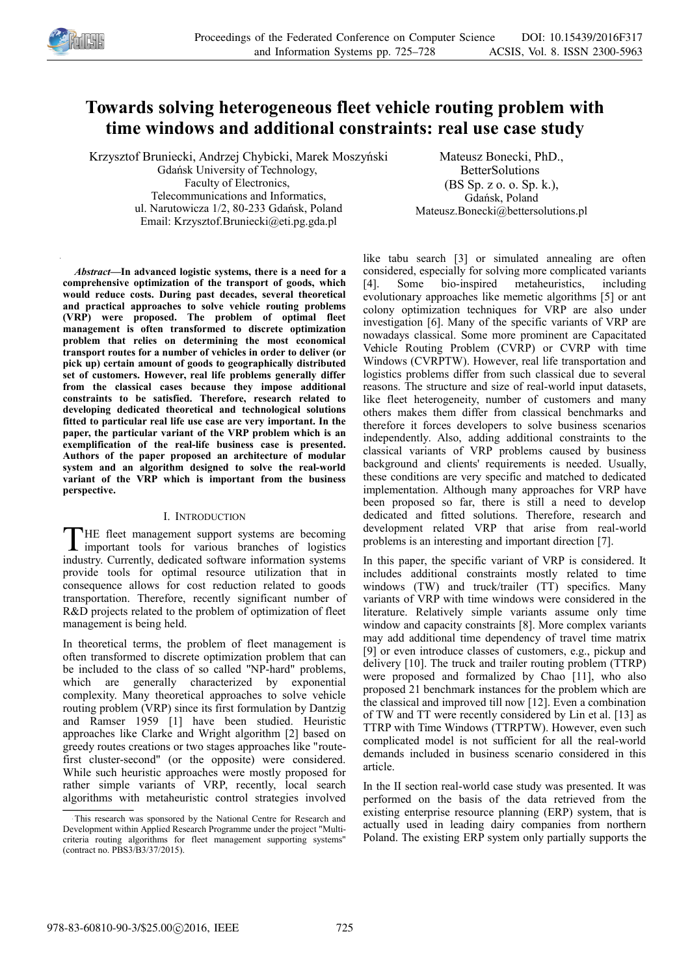

# **Towards solving heterogeneous fleet vehicle routing problem with time windows and additional constraints: real use case study**

Krzysztof Bruniecki, Andrzej Chybicki, Marek Moszyński Gdańsk University of Technology, Faculty of Electronics, Telecommunications and Informatics, ul. Narutowicza 1/2, 80-233 Gdańsk, Poland Email: Krzysztof.Bruniecki@eti.pg.gda.pl

Mateusz Bonecki, PhD., BetterSolutions (BS Sp. z o. o. Sp. k.), Gdańsk, Poland Mateusz.Bonecki@bettersolutions.pl

*Abstract—***In advanced logistic systems, there is a need for a comprehensive optimization of the transport of goods, which would reduce costs. During past decades, several theoretical and practical approaches to solve vehicle routing problems (VRP) were proposed. The problem of optimal fleet management is often transformed to discrete optimization problem that relies on determining the most economical transport routes for a number of vehicles in order to deliver (or pick up) certain amount of goods to geographically distributed set of customers. However, real life problems generally differ from the classical cases because they impose additional constraints to be satisfied. Therefore, research related to developing dedicated theoretical and technological solutions fitted to particular real life use case are very important. In the paper, the particular variant of the VRP problem which is an exemplification of the real-life business case is presented. Authors of the paper proposed an architecture of modular system and an algorithm designed to solve the real-world variant of the VRP which is important from the business perspective.** 

## I. INTRODUCTION

HE fleet management support systems are becoming THE fleet management support systems are becoming<br>important tools for various branches of logistics industry. Currently, dedicated software information systems provide tools for optimal resource utilization that in consequence allows for cost reduction related to goods transportation. Therefore, recently significant number of R&D projects related to the problem of optimization of fleet management is being held.

In theoretical terms, the problem of fleet management is often transformed to discrete optimization problem that can be included to the class of so called "NP-hard" problems, which are generally characterized by exponential complexity. Many theoretical approaches to solve vehicle routing problem (VRP) since its first formulation by Dantzig and Ramser 1959 [1] have been studied. Heuristic approaches like Clarke and Wright algorithm [2] based on greedy routes creations or two stages approaches like "routefirst cluster-second" (or the opposite) were considered. While such heuristic approaches were mostly proposed for rather simple variants of VRP, recently, local search algorithms with metaheuristic control strategies involved

like tabu search [3] or simulated annealing are often considered, especially for solving more complicated variants [4]. Some bio-inspired metaheuristics, including evolutionary approaches like memetic algorithms [5] or ant colony optimization techniques for VRP are also under investigation [6]. Many of the specific variants of VRP are nowadays classical. Some more prominent are Capacitated Vehicle Routing Problem (CVRP) or CVRP with time Windows (CVRPTW). However, real life transportation and logistics problems differ from such classical due to several reasons. The structure and size of real-world input datasets, like fleet heterogeneity, number of customers and many others makes them differ from classical benchmarks and therefore it forces developers to solve business scenarios independently. Also, adding additional constraints to the classical variants of VRP problems caused by business background and clients' requirements is needed. Usually, these conditions are very specific and matched to dedicated implementation. Although many approaches for VRP have been proposed so far, there is still a need to develop dedicated and fitted solutions. Therefore, research and development related VRP that arise from real-world problems is an interesting and important direction [7].

In this paper, the specific variant of VRP is considered. It includes additional constraints mostly related to time windows (TW) and truck/trailer (TT) specifics. Many variants of VRP with time windows were considered in the literature. Relatively simple variants assume only time window and capacity constraints [8]. More complex variants may add additional time dependency of travel time matrix [9] or even introduce classes of customers, e.g., pickup and delivery [10]. The truck and trailer routing problem (TTRP) were proposed and formalized by Chao [11], who also proposed 21 benchmark instances for the problem which are the classical and improved till now [12]. Even a combination of TW and TT were recently considered by Lin et al. [13] as TTRP with Time Windows (TTRPTW). However, even such complicated model is not sufficient for all the real-world demands included in business scenario considered in this article.

In the II section real-world case study was presented. It was performed on the basis of the data retrieved from the existing enterprise resource planning (ERP) system, that is actually used in leading dairy companies from northern Poland. The existing ERP system only partially supports the

This research was sponsored by the National Centre for Research and Development within Applied Research Programme under the project "Multicriteria routing algorithms for fleet management supporting systems" (contract no. PBS3/B3/37/2015).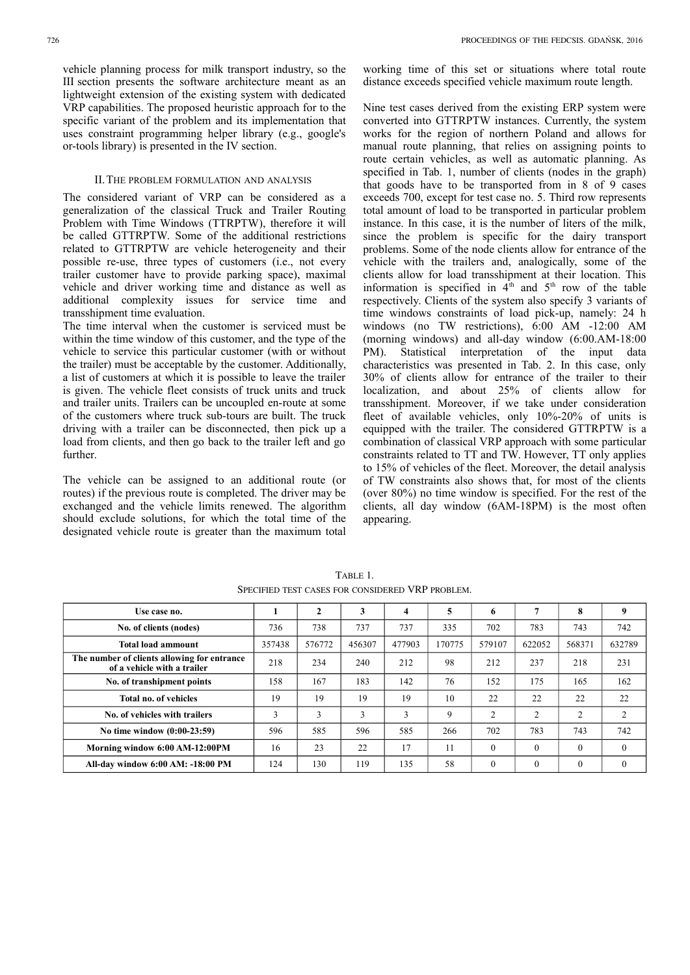vehicle planning process for milk transport industry, so the III section presents the software architecture meant as an lightweight extension of the existing system with dedicated VRP capabilities. The proposed heuristic approach for to the specific variant of the problem and its implementation that uses constraint programming helper library (e.g., google's or-tools library) is presented in the IV section.

## II.THE PROBLEM FORMULATION AND ANALYSIS

The considered variant of VRP can be considered as a generalization of the classical Truck and Trailer Routing Problem with Time Windows (TTRPTW), therefore it will be called GTTRPTW. Some of the additional restrictions related to GTTRPTW are vehicle heterogeneity and their possible re-use, three types of customers (i.e., not every trailer customer have to provide parking space), maximal vehicle and driver working time and distance as well as additional complexity issues for service time and transshipment time evaluation.

The time interval when the customer is serviced must be within the time window of this customer, and the type of the vehicle to service this particular customer (with or without the trailer) must be acceptable by the customer. Additionally, a list of customers at which it is possible to leave the trailer is given. The vehicle fleet consists of truck units and truck and trailer units. Trailers can be uncoupled en-route at some of the customers where truck sub-tours are built. The truck driving with a trailer can be disconnected, then pick up a load from clients, and then go back to the trailer left and go further.

The vehicle can be assigned to an additional route (or routes) if the previous route is completed. The driver may be exchanged and the vehicle limits renewed. The algorithm should exclude solutions, for which the total time of the designated vehicle route is greater than the maximum total

Nine test cases derived from the existing ERP system were converted into GTTRPTW instances. Currently, the system works for the region of northern Poland and allows for manual route planning, that relies on assigning points to route certain vehicles, as well as automatic planning. As specified in Tab. 1, number of clients (nodes in the graph) that goods have to be transported from in 8 of 9 cases exceeds 700, except for test case no. 5. Third row represents total amount of load to be transported in particular problem instance. In this case, it is the number of liters of the milk, since the problem is specific for the dairy transport problems. Some of the node clients allow for entrance of the vehicle with the trailers and, analogically, some of the clients allow for load transshipment at their location. This information is specified in  $4<sup>th</sup>$  and  $5<sup>th</sup>$  row of the table respectively. Clients of the system also specify 3 variants of time windows constraints of load pick-up, namely: 24 h windows (no TW restrictions), 6:00 AM -12:00 AM (morning windows) and all-day window (6:00.AM-18:00 PM). Statistical interpretation of the input data characteristics was presented in Tab. 2. In this case, only 30% of clients allow for entrance of the trailer to their localization, and about 25% of clients allow for transshipment. Moreover, if we take under consideration fleet of available vehicles, only 10%-20% of units is equipped with the trailer. The considered GTTRPTW is a combination of classical VRP approach with some particular constraints related to TT and TW. However, TT only applies to 15% of vehicles of the fleet. Moreover, the detail analysis of TW constraints also shows that, for most of the clients (over 80%) no time window is specified. For the rest of the clients, all day window (6AM-18PM) is the most often appearing.

| Use case no.                                                               |               | $\mathbf{2}$ | 3      | 4      | 5      | 6              |          | 8            | 9        |
|----------------------------------------------------------------------------|---------------|--------------|--------|--------|--------|----------------|----------|--------------|----------|
| No. of clients (nodes)                                                     | 736           | 738          | 737    | 737    | 335    | 702            | 783      | 743          | 742      |
| Total load ammount                                                         | 357438        | 576772       | 456307 | 477903 | 170775 | 579107         | 622052   | 568371       | 632789   |
| The number of clients allowing for entrance<br>of a vehicle with a trailer | 218           | 234          | 240    | 212    | 98     | 212            | 237      | 218          | 231      |
| No. of transhipment points                                                 | 158           | 167          | 183    | 142    | 76     | 152            | 175      | 165          | 162      |
| Total no. of vehicles                                                      | 19            | 19           | 19     | 19     | 10     | 22             | 22       | 22           | 22       |
| No. of vehicles with trailers                                              | $\rightarrow$ | 3            | 3      | 3      | 9      | $\overline{2}$ | 2        | 2            | 2        |
| No time window (0:00-23:59)                                                | 596           | 585          | 596    | 585    | 266    | 702            | 783      | 743          | 742      |
| Morning window 6:00 AM-12:00PM                                             | 16            | 23           | 22     | 17     | 11     | $\Omega$       | $\Omega$ | $\theta$     | $\Omega$ |
| All-day window 6:00 AM: -18:00 PM                                          | 124           | 130          | 119    | 135    | 58     | $\mathbf{0}$   | $\theta$ | $\mathbf{0}$ | $\theta$ |

TABLE 1. SPECIFIED TEST CASES FOR CONSIDERED VRP PROBLEM.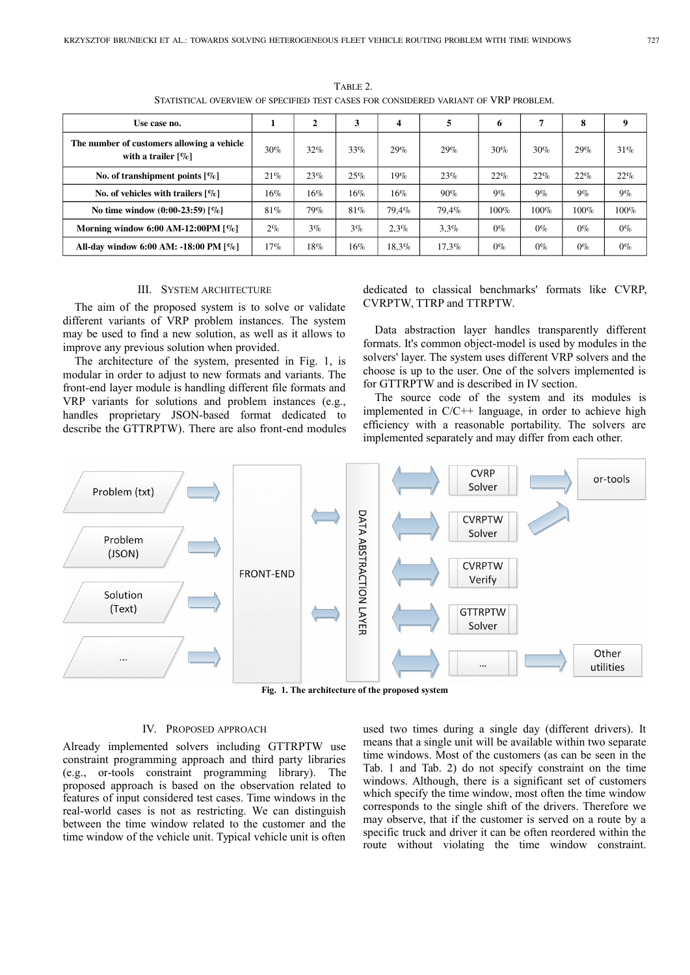| Use case no.                                                                    |        | $\mathbf{2}$ | 3     | 4        | 5        | 6     | 7     | 8     | 9     |
|---------------------------------------------------------------------------------|--------|--------------|-------|----------|----------|-------|-------|-------|-------|
| The number of customers allowing a vehicle<br>with a trailer $\lceil \% \rceil$ | $30\%$ | 32%          | 33%   | 29%      | 29%      | 30%   | 30%   | 29%   | 31%   |
| No. of transhipment points $[\%]$                                               | 21%    | 23%          | 25%   | $19\%$   | 23%      | 22%   | 22%   | 22%   | 22%   |
| No. of vehicles with trailers $\lceil \% \rceil$                                | 16%    | 16%          | 16%   | 16%      | $90\%$   | $9\%$ | $9\%$ | $9\%$ | $9\%$ |
| No time window $(0:00-23:59)$ [%]                                               | 81%    | 79%          | 81%   | 79.4%    | 79.4%    | 100%  | 100%  | 100%  | 100%  |
| Morning window 6:00 AM-12:00PM $[\%]$                                           | $2\%$  | $3\%$        | $3\%$ | $2.3\%$  | $3.3\%$  | $0\%$ | $0\%$ | $0\%$ | $0\%$ |
| All-day window 6:00 AM: -18:00 PM [%]                                           | 17%    | 18%          | 16%   | $18.3\%$ | $17.3\%$ | $0\%$ | $0\%$ | $0\%$ | $0\%$ |

TABLE 2. STATISTICAL OVERVIEW OF SPECIFIED TEST CASES FOR CONSIDERED VARIANT OF VRP PROBLEM.

### III. SYSTEM ARCHITECTURE

The aim of the proposed system is to solve or validate different variants of VRP problem instances. The system may be used to find a new solution, as well as it allows to improve any previous solution when provided.

The architecture of the system, presented in Fig. 1, is modular in order to adjust to new formats and variants. The front-end layer module is handling different file formats and VRP variants for solutions and problem instances (e.g., handles proprietary JSON-based format dedicated to describe the GTTRPTW). There are also front-end modules

dedicated to classical benchmarks' formats like CVRP, CVRPTW, TTRP and TTRPTW.

Data abstraction layer handles transparently different formats. It's common object-model is used by modules in the solvers' layer. The system uses different VRP solvers and the choose is up to the user. One of the solvers implemented is for GTTRPTW and is described in IV section.

The source code of the system and its modules is implemented in C/C++ language, in order to achieve high efficiency with a reasonable portability. The solvers are implemented separately and may differ from each other.



**Fig. 1. The architecture of the proposed system**

## IV. PROPOSED APPROACH

Already implemented solvers including GTTRPTW use constraint programming approach and third party libraries (e.g., or-tools constraint programming library). The proposed approach is based on the observation related to features of input considered test cases. Time windows in the real-world cases is not as restricting. We can distinguish between the time window related to the customer and the time window of the vehicle unit. Typical vehicle unit is often

used two times during a single day (different drivers). It means that a single unit will be available within two separate time windows. Most of the customers (as can be seen in the Tab. 1 and Tab. 2) do not specify constraint on the time windows. Although, there is a significant set of customers which specify the time window, most often the time window corresponds to the single shift of the drivers. Therefore we may observe, that if the customer is served on a route by a specific truck and driver it can be often reordered within the route without violating the time window constraint.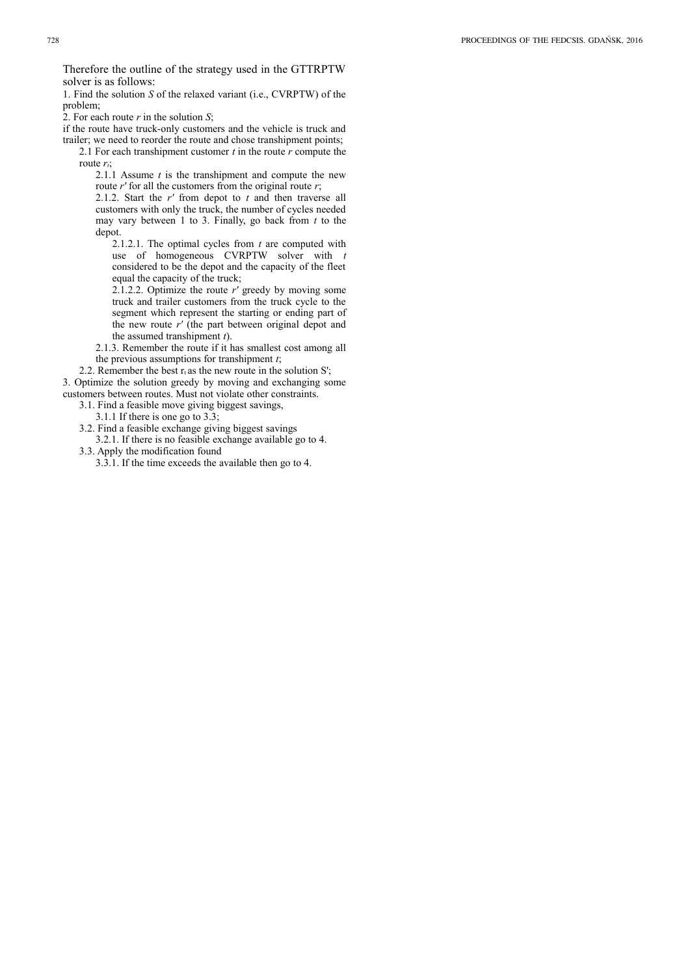Therefore the outline of the strategy used in the GTTRPTW solver is as follows:

1. Find the solution *S* of the relaxed variant (i.e., CVRPTW) of the problem;

2. For each route *r* in the solution *S*;

if the route have truck-only customers and the vehicle is truck and trailer; we need to reorder the route and chose transhipment points;

2.1 For each transhipment customer *t* in the route *r* compute the route *rt*;

2.1.1 Assume *t* is the transhipment and compute the new route  $r'$  for all the customers from the original route  $r$ ;

2.1.2. Start the *r'* from depot to *t* and then traverse all customers with only the truck, the number of cycles needed may vary between 1 to 3. Finally, go back from *t* to the depot.

2.1.2.1. The optimal cycles from *t* are computed with use of homogeneous CVRPTW solver with *t* considered to be the depot and the capacity of the fleet equal the capacity of the truck;

2.1.2.2. Optimize the route *r'* greedy by moving some truck and trailer customers from the truck cycle to the segment which represent the starting or ending part of the new route *r'* (the part between original depot and the assumed transhipment *t*).

2.1.3. Remember the route if it has smallest cost among all the previous assumptions for transhipment *t*;

2.2. Remember the best  $r_t$  as the new route in the solution S'; 3. Optimize the solution greedy by moving and exchanging some customers between routes. Must not violate other constraints.

- 3.1. Find a feasible move giving biggest savings,
	- 3.1.1 If there is one go to 3.3;
- 3.2. Find a feasible exchange giving biggest savings
- 3.2.1. If there is no feasible exchange available go to 4. 3.3. Apply the modification found
	- 3.3.1. If the time exceeds the available then go to 4.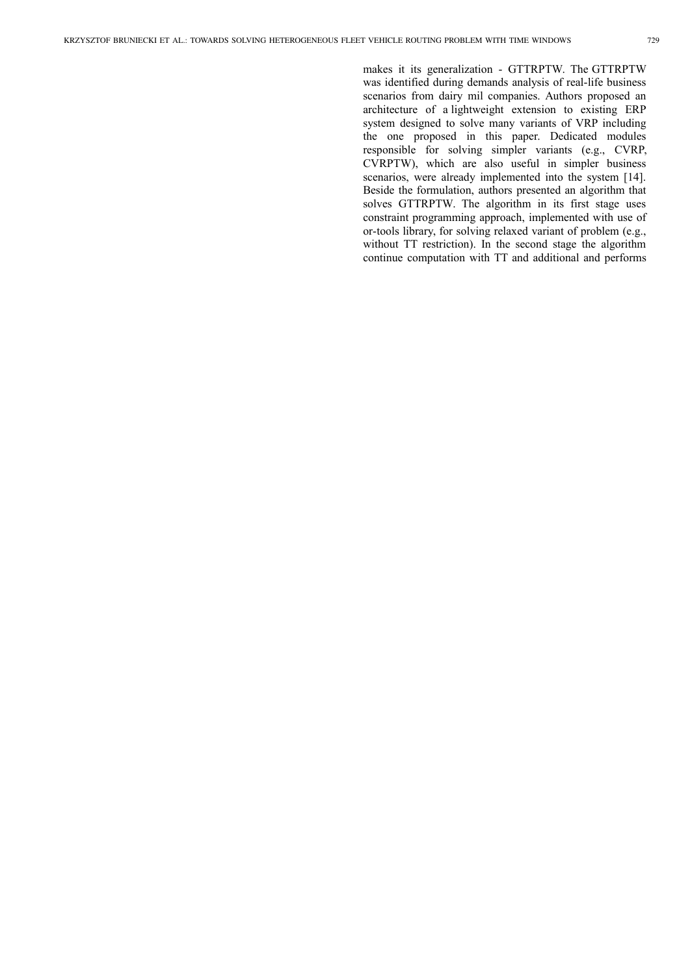makes it its generalization - GTTRPTW. The GTTRPTW was identified during demands analysis of real-life business scenarios from dairy mil companies. Authors proposed an architecture of a lightweight extension to existing ERP system designed to solve many variants of VRP including the one proposed in this paper. Dedicated modules responsible for solving simpler variants (e.g., CVRP, CVRPTW), which are also useful in simpler business scenarios, were already implemented into the system [14]. Beside the formulation, authors presented an algorithm that solves GTTRPTW. The algorithm in its first stage uses constraint programming approach, implemented with use of or-tools library, for solving relaxed variant of problem (e.g., without TT restriction). In the second stage the algorithm continue computation with TT and additional and performs